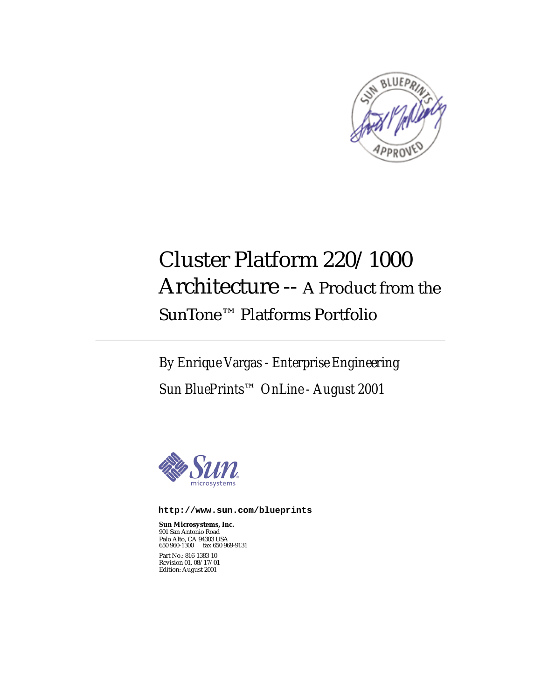

# Cluster Platform 220/1000 Architecture -- A Product from the SunTone™ Platforms Portfolio

*By Enrique Vargas - Enterprise Engineering Sun BluePrints™ OnLine - August 2001*



**http://www.sun.com/blueprints**

**Sun Microsystems, Inc.** 901 San Antonio Road Palo Alto, CA 94303 USA 650 960-1300 fax 650 969-9131 Part No.: 816-1383-10 Revision 01, 08/17/01 Edition: August 2001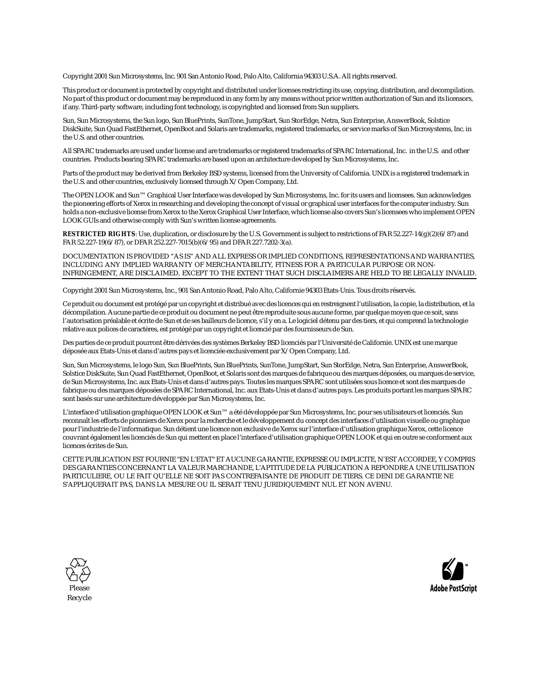Copyright 2001 Sun Microsystems, Inc. 901 San Antonio Road, Palo Alto, California 94303 U.S.A. All rights reserved.

This product or document is protected by copyright and distributed under licenses restricting its use, copying, distribution, and decompilation. No part of this product or document may be reproduced in any form by any means without prior written authorization of Sun and its licensors, if any. Third-party software, including font technology, is copyrighted and licensed from Sun suppliers.

Sun, Sun Microsystems, the Sun logo, Sun BluePrints, SunTone, JumpStart, Sun StorEdge, Netra, Sun Enterprise, AnswerBook, Solstice DiskSuite, Sun Quad FastEthernet, OpenBoot and Solaris are trademarks, registered trademarks, or service marks of Sun Microsystems, Inc. in the U.S. and other countries.

All SPARC trademarks are used under license and are trademarks or registered trademarks of SPARC International, Inc. in the U.S. and other countries. Products bearing SPARC trademarks are based upon an architecture developed by Sun Microsystems, Inc.

Parts of the product may be derived from Berkeley BSD systems, licensed from the University of California. UNIX is a registered trademark in the U.S. and other countries, exclusively licensed through X/Open Company, Ltd.

The OPEN LOOK and Sun™ Graphical User Interface was developed by Sun Microsystems, Inc. for its users and licensees. Sun acknowledges the pioneering efforts of Xerox in researching and developing the concept of visual or graphical user interfaces for the computer industry. Sun holds a non-exclusive license from Xerox to the Xerox Graphical User Interface, which license also covers Sun's licensees who implement OPEN LOOK GUIs and otherwise comply with Sun's written license agreements.

**RESTRICTED RIGHTS**: Use, duplication, or disclosure by the U.S. Government is subject to restrictions of FAR 52.227-14(g)(2)(6/87) and FAR 52.227-19(6/87), or DFAR 252.227-7015(b)(6/95) and DFAR 227.7202-3(a).

DOCUMENTATION IS PROVIDED "AS IS" AND ALL EXPRESS OR IMPLIED CONDITIONS, REPRESENTATIONS AND WARRANTIES, INCLUDING ANY IMPLIED WARRANTY OF MERCHANTABILITY, FITNESS FOR A PARTICULAR PURPOSE OR NON-INFRINGEMENT, ARE DISCLAIMED, EXCEPT TO THE EXTENT THAT SUCH DISCLAIMERS ARE HELD TO BE LEGALLY INVALID.

Copyright 2001 Sun Microsystems, Inc., 901 San Antonio Road, Palo Alto, Californie 94303 Etats-Unis. Tous droits réservés.

Ce produit ou document est protégé par un copyright et distribué avec des licences qui en restreignent l'utilisation, la copie, la distribution, et la décompilation. Aucune partie de ce produit ou document ne peut être reproduite sous aucune forme, par quelque moyen que ce soit, sans l'autorisation préalable et écrite de Sun et de ses bailleurs de licence, s'il y en a. Le logiciel détenu par des tiers, et qui comprend la technologie relative aux polices de caractères, est protégé par un copyright et licencié par des fournisseurs de Sun.

Des parties de ce produit pourront être dérivées des systèmes Berkeley BSD licenciés par l'Université de Californie. UNIX est une marque déposée aux Etats-Unis et dans d'autres pays et licenciée exclusivement par X/Open Company, Ltd.

Sun, Sun Microsystems, le logo Sun, Sun BluePrints, Sun BluePrints, SunTone, JumpStart, Sun StorEdge, Netra, Sun Enterprise, AnswerBook, Solstice DiskSuite, Sun Quad FastEthernet, OpenBoot, et Solaris sont des marques de fabrique ou des marques déposées, ou marques de service, de Sun Microsystems, Inc. aux Etats-Unis et dans d'autres pays. Toutes les marques SPARC sont utilisées sous licence et sont des marques de fabrique ou des marques déposées de SPARC International, Inc. aux Etats-Unis et dans d'autres pays. Les produits portant les marques SPARC sont basés sur une architecture développée par Sun Microsystems, Inc.

L'interface d'utilisation graphique OPEN LOOK et Sun™ a été développée par Sun Microsystems, Inc. pour ses utilisateurs et licenciés. Sun reconnaît les efforts de pionniers de Xerox pour la recherche et le développement du concept des interfaces d'utilisation visuelle ou graphique pour l'industrie de l'informatique. Sun détient une licence non exclusive de Xerox sur l'interface d'utilisation graphique Xerox, cette licence couvrant également les licenciés de Sun qui mettent en place l'interface d'utilisation graphique OPEN LOOK et qui en outre se conforment aux licences écrites de Sun.

CETTE PUBLICATION EST FOURNIE "EN L'ETAT" ET AUCUNE GARANTIE, EXPRESSE OU IMPLICITE, N'EST ACCORDEE, Y COMPRIS DES GARANTIES CONCERNANT LA VALEUR MARCHANDE, L'APTITUDE DE LA PUBLICATION A REPONDRE A UNE UTILISATION PARTICULIERE, OU LE FAIT QU'ELLE NE SOIT PAS CONTREFAISANTE DE PRODUIT DE TIERS. CE DENI DE GARANTIE NE S'APPLIQUERAIT PAS, DANS LA MESURE OU IL SERAIT TENU JURIDIQUEMENT NUL ET NON AVENU.



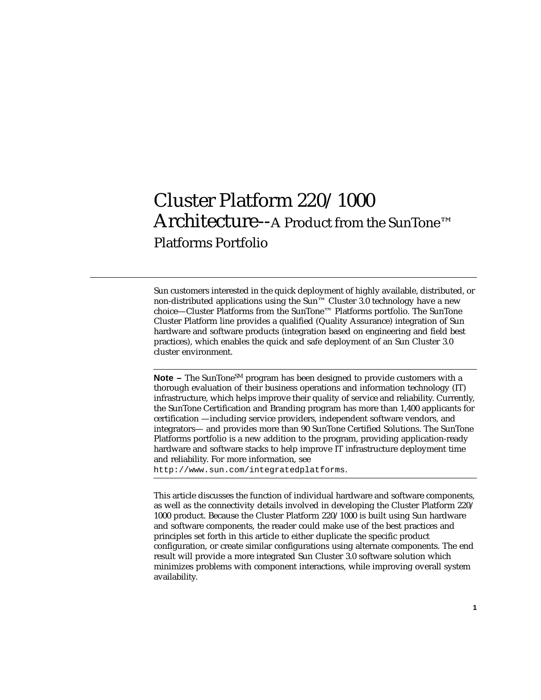## Cluster Platform 220/1000 Architecture--A Product from the SunTone™ Platforms Portfolio

Sun customers interested in the quick deployment of highly available, distributed, or non-distributed applications using the Sun™ Cluster 3.0 technology have a new choice—Cluster Platforms from the SunTone™ Platforms portfolio. The SunTone Cluster Platform line provides a qualified (Quality Assurance) integration of Sun hardware and software products (integration based on engineering and field best practices), which enables the quick and safe deployment of an Sun Cluster 3.0 cluster environment.

**Note –** The SunTone<sup>SM</sup> program has been designed to provide customers with a thorough evaluation of their business operations and information technology (IT) infrastructure, which helps improve their quality of service and reliability. Currently, the SunTone Certification and Branding program has more than 1,400 applicants for certification —including service providers, independent software vendors, and integrators— and provides more than 90 SunTone Certified Solutions. The SunTone Platforms portfolio is a new addition to the program, providing application-ready hardware and software stacks to help improve IT infrastructure deployment time and reliability. For more information, see

http://www.sun.com/integratedplatforms.

This article discusses the function of individual hardware and software components, as well as the connectivity details involved in developing the Cluster Platform 220/ 1000 product. Because the Cluster Platform 220/1000 is built using Sun hardware and software components, the reader could make use of the best practices and principles set forth in this article to either duplicate the specific product configuration, or create similar configurations using alternate components. The end result will provide a more integrated Sun Cluster 3.0 software solution which minimizes problems with component interactions, while improving overall system availability.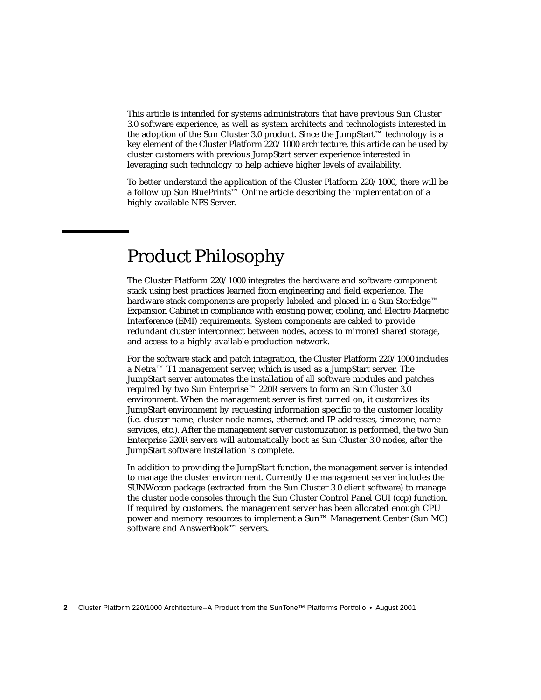This article is intended for systems administrators that have previous Sun Cluster 3.0 software experience, as well as system architects and technologists interested in the adoption of the Sun Cluster 3.0 product. Since the JumpStart™ technology is a key element of the Cluster Platform 220/1000 architecture, this article can be used by cluster customers with previous JumpStart server experience interested in leveraging such technology to help achieve higher levels of availability.

To better understand the application of the Cluster Platform 220/1000, there will be a follow up Sun BluePrints™ Online article describing the implementation of a highly-available NFS Server.

### Product Philosophy

The Cluster Platform 220/1000 integrates the hardware and software component stack using best practices learned from engineering and field experience. The hardware stack components are properly labeled and placed in a Sun StorEdge™ Expansion Cabinet in compliance with existing power, cooling, and Electro Magnetic Interference (EMI) requirements. System components are cabled to provide redundant cluster interconnect between nodes, access to mirrored shared storage, and access to a highly available production network.

For the software stack and patch integration, the Cluster Platform 220/1000 includes a Netra™ T1 management server, which is used as a JumpStart server. The JumpStart server automates the installation of *all* software modules and patches required by two Sun Enterprise™ 220R servers to form an Sun Cluster 3.0 environment. When the management server is first turned on, it customizes its JumpStart environment by requesting information specific to the customer locality (i.e. cluster name, cluster node names, ethernet and IP addresses, timezone, name services, etc.). After the management server customization is performed, the two Sun Enterprise 220R servers will automatically boot as Sun Cluster 3.0 nodes, after the JumpStart software installation is complete.

In addition to providing the JumpStart function, the management server is intended to manage the cluster environment. Currently the management server includes the SUNWccon package (extracted from the Sun Cluster 3.0 client software) to manage the cluster node consoles through the Sun Cluster Control Panel GUI (ccp) function. If required by customers, the management server has been allocated enough CPU power and memory resources to implement a Sun™ Management Center (Sun MC) software and AnswerBook™ servers.

**2** Cluster Platform 220/1000 Architecture--A Product from the SunTone™ Platforms Portfolio • August 2001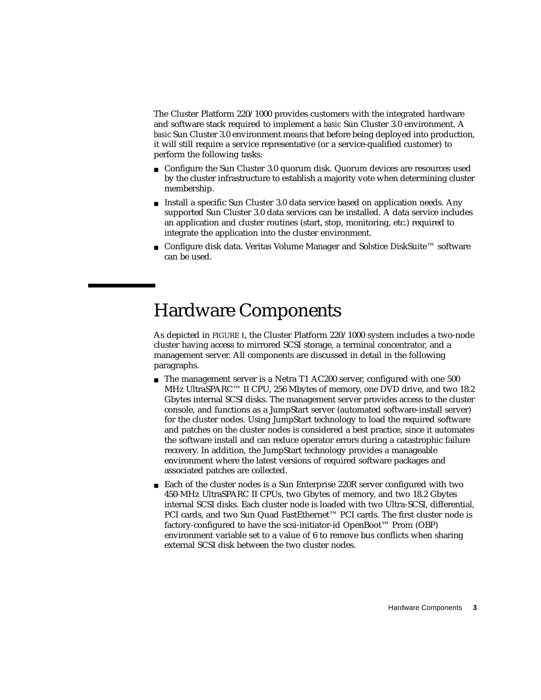The Cluster Platform 220/1000 provides customers with the integrated hardware and software stack required to implement a *basic* Sun Cluster 3.0 environment. A *basic* Sun Cluster 3.0 environment means that before being deployed into production, it will still require a service representative (or a service-qualified customer) to perform the following tasks:

- Configure the Sun Cluster 3.0 quorum disk. Quorum devices are resources used by the cluster infrastructure to establish a majority vote when determining cluster membership.
- Install a specific Sun Cluster 3.0 data service based on application needs. Any supported Sun Cluster 3.0 data services can be installed. A data service includes an application and cluster routines (start, stop, monitoring, etc.) required to integrate the application into the cluster environment.
- Configure disk data. Veritas Volume Manager and Solstice DiskSuite™ software can be used.

#### Hardware Components

As depicted in FIGURE 1, the Cluster Platform 220/1000 system includes a two-node cluster having access to mirrored SCSI storage, a terminal concentrator, and a management server. All components are discussed in detail in the following paragraphs.

- The management server is a Netra T1 AC200 server, configured with one 500 MHz UltraSPARC™ II CPU, 256 Mbytes of memory, one DVD drive, and two 18.2 Gbytes internal SCSI disks. The management server provides access to the cluster console, and functions as a JumpStart server (automated software-install server) for the cluster nodes. Using JumpStart technology to load the required software and patches on the cluster nodes is considered a best practice, since it automates the software install and can reduce operator errors during a catastrophic failure recovery. In addition, the JumpStart technology provides a manageable environment where the latest versions of required software packages and associated patches are collected.
- Each of the cluster nodes is a Sun Enterprise 220R server configured with two 450-MHz UltraSPARC II CPUs, two Gbytes of memory, and two 18.2 Gbytes internal SCSI disks. Each cluster node is loaded with two Ultra-SCSI, differential, PCI cards, and two Sun Quad FastEthernet™ PCI cards. The first cluster node is factory-configured to have the scsi-initiator-id OpenBoot™ Prom (OBP) environment variable set to a value of 6 to remove bus conflicts when sharing external SCSI disk between the two cluster nodes.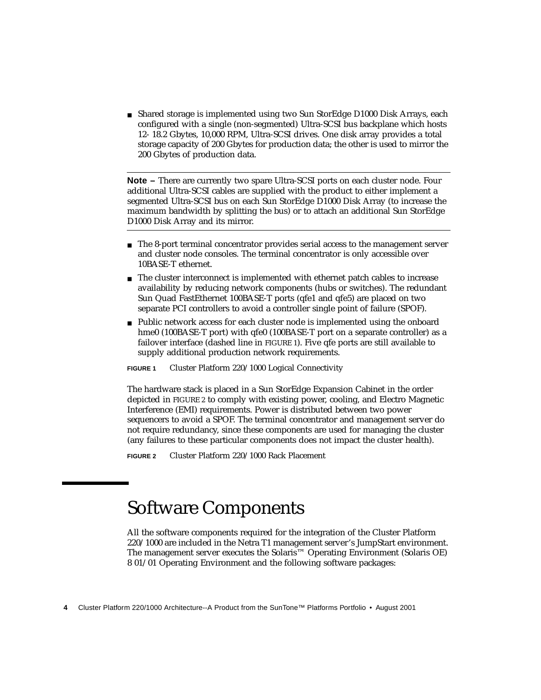■ Shared storage is implemented using two Sun StorEdge D1000 Disk Arrays, each configured with a single (non-segmented) Ultra-SCSI bus backplane which hosts 12- 18.2 Gbytes, 10,000 RPM, Ultra-SCSI drives. One disk array provides a total storage capacity of 200 Gbytes for production data; the other is used to mirror the 200 Gbytes of production data.

**Note –** There are currently two spare Ultra-SCSI ports on each cluster node. Four additional Ultra-SCSI cables are supplied with the product to either implement a segmented Ultra-SCSI bus on each Sun StorEdge D1000 Disk Array (to increase the maximum bandwidth by splitting the bus) or to attach an additional Sun StorEdge D1000 Disk Array and its mirror.

- The 8-port terminal concentrator provides serial access to the management server and cluster node consoles. The terminal concentrator is only accessible over 10BASE-T ethernet.
- The cluster interconnect is implemented with ethernet patch cables to increase availability by reducing network components (hubs or switches). The redundant Sun Quad FastEthernet 100BASE-T ports (qfe1 and qfe5) are placed on two separate PCI controllers to avoid a controller single point of failure (SPOF).
- Public network access for each cluster node is implemented using the onboard hme0 (100BASE-T port) with qfe0 (100BASE-T port on a separate controller) as a failover interface (dashed line in FIGURE 1). Five qfe ports are still available to supply additional production network requirements.

**FIGURE 1** Cluster Platform 220/1000 Logical Connectivity

The hardware stack is placed in a Sun StorEdge Expansion Cabinet in the order depicted in FIGURE 2 to comply with existing power, cooling, and Electro Magnetic Interference (EMI) requirements. Power is distributed between two power sequencers to avoid a SPOF. The terminal concentrator and management server do not require redundancy, since these components are used for managing the cluster (any failures to these particular components does not impact the cluster health).

**FIGURE 2** Cluster Platform 220/1000 Rack Placement

## Software Components

All the software components required for the integration of the Cluster Platform 220/1000 are included in the Netra T1 management server's JumpStart environment. The management server executes the Solaris™ Operating Environment (Solaris OE) 8 01/01 Operating Environment and the following software packages:

**<sup>4</sup>** Cluster Platform 220/1000 Architecture--A Product from the SunTone™ Platforms Portfolio • August 2001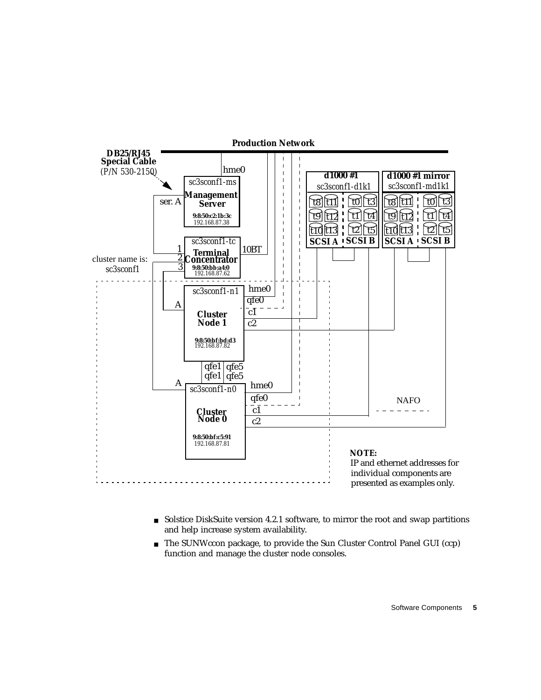

- Solstice DiskSuite version 4.2.1 software, to mirror the root and swap partitions and help increase system availability.
- The SUNWccon package, to provide the Sun Cluster Control Panel GUI (ccp) function and manage the cluster node consoles.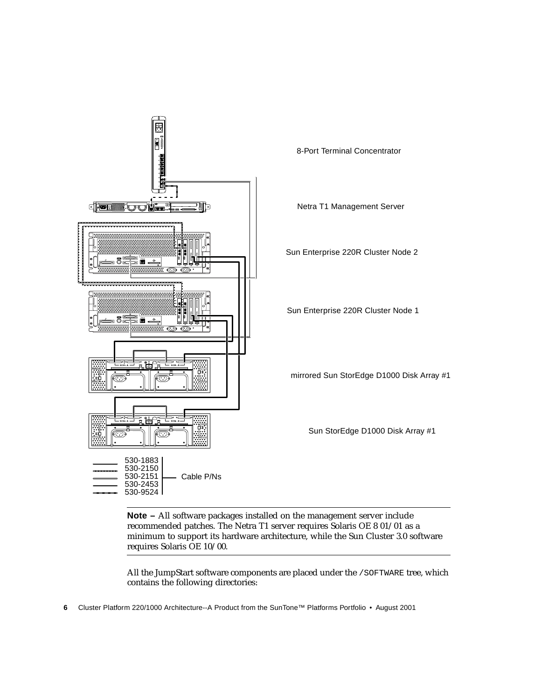

**Note –** All software packages installed on the management server include recommended patches. The Netra T1 server requires Solaris OE 8 01/01 as a minimum to support its hardware architecture, while the Sun Cluster 3.0 software requires Solaris OE 10/00.

All the JumpStart software components are placed under the /SOFTWARE tree, which contains the following directories:

**<sup>6</sup>** Cluster Platform 220/1000 Architecture--A Product from the SunTone™ Platforms Portfolio • August 2001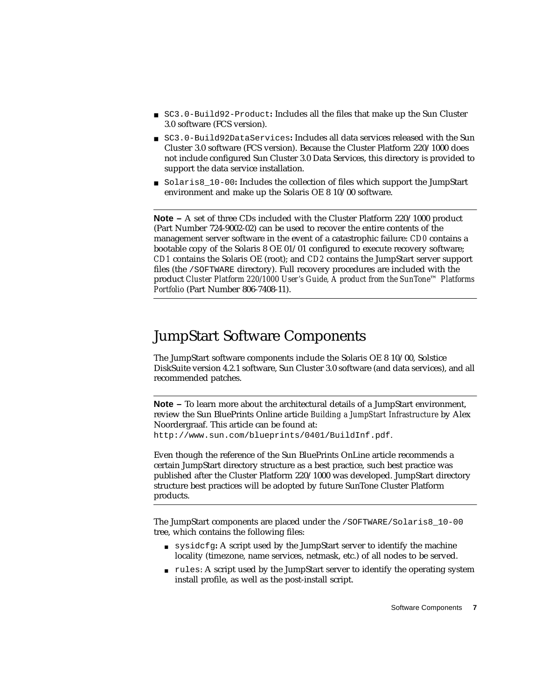- SC3.0-Build92-Product: Includes all the files that make up the Sun Cluster 3.0 software (FCS version).
- SC3.0-Build92DataServices**:** Includes all data services released with the Sun Cluster 3.0 software (FCS version). Because the Cluster Platform 220/1000 does not include configured Sun Cluster 3.0 Data Services, this directory is provided to support the data service installation.
- Solaris8 10-00**:** Includes the collection of files which support the JumpStart environment and make up the Solaris OE 8 10/00 software.

**Note –** A set of three CDs included with the Cluster Platform 220/1000 product (Part Number 724-9002-02) can be used to recover the entire contents of the management server software in the event of a catastrophic failure: *CD0* contains a bootable copy of the Solaris 8 OE 01/01 configured to execute recovery software; *CD1* contains the Solaris OE (root); and *CD2* contains the JumpStart server support files (the /SOFTWARE directory). Full recovery procedures are included with the product *Cluster Platform 220/1000 User's Guide, A product from the SunTone™ Platforms Portfolio* (Part Number 806-7408-11).

#### JumpStart Software Components

The JumpStart software components include the Solaris OE 8 10/00, Solstice DiskSuite version 4.2.1 software, Sun Cluster 3.0 software (and data services), and all recommended patches.

**Note –** To learn more about the architectural details of a JumpStart environment, review the Sun BluePrints Online article *Building a JumpStart Infrastructure* by Alex Noordergraaf. This article can be found at: http://www.sun.com/blueprints/0401/BuildInf.pdf.

Even though the reference of the Sun BluePrints OnLine article recommends a certain JumpStart directory structure as a best practice, such best practice was published after the Cluster Platform 220/1000 was developed. JumpStart directory structure best practices will be adopted by future SunTone Cluster Platform products.

The JumpStart components are placed under the /SOFTWARE/Solaris8\_10-00 tree, which contains the following files:

- sysidcfg**:** A script used by the JumpStart server to identify the machine locality (timezone, name services, netmask, etc.) of all nodes to be served.
- rules: A script used by the JumpStart server to identify the operating system install profile, as well as the post-install script.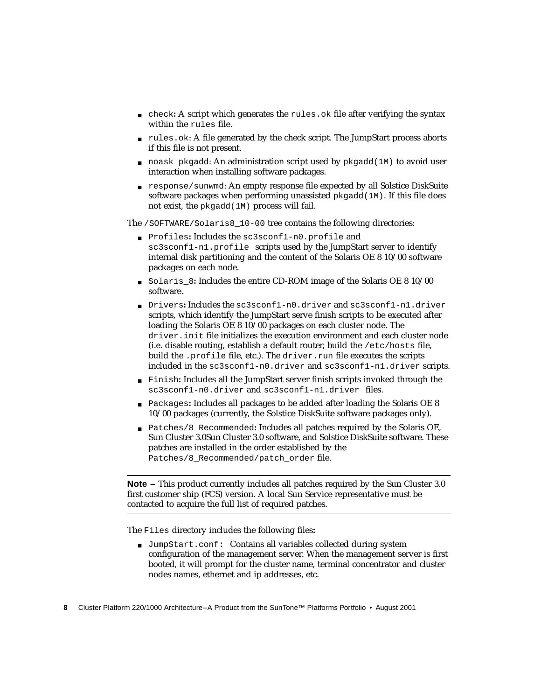- check**:** A script which generates the rules.ok file after verifying the syntax within the rules file.
- rules.ok: A file generated by the check script. The JumpStart process aborts if this file is not present.
- noask pkgadd: An administration script used by pkgadd(1M) to avoid user interaction when installing software packages.
- response/sunwmd: An empty response file expected by all Solstice DiskSuite software packages when performing unassisted pkgadd(1M). If this file does not exist, the pkgadd(1M) process will fail.

The /SOFTWARE/Solaris8\_10-00 tree contains the following directories:

- Profiles**:** Includes the sc3sconf1-n0.profile and sc3sconf1-n1.profile scripts used by the JumpStart server to identify internal disk partitioning and the content of the Solaris OE 8 10/00 software packages on each node.
- Solaris\_8**:** Includes the entire CD-ROM image of the Solaris OE 8 10/00 software.
- Drivers**:** Includes the sc3sconf1-n0.driver and sc3sconf1-n1.driver scripts, which identify the JumpStart serve finish scripts to be executed after loading the Solaris OE 8 10/00 packages on each cluster node. The driver.init file initializes the execution environment and each cluster node (i.e. disable routing, establish a default router, build the /etc/hosts file, build the .profile file, etc.). The driver.run file executes the scripts included in the sc3sconf1-n0.driver and sc3sconf1-n1.driver scripts.
- Finish**:** Includes all the JumpStart server finish scripts invoked through the sc3sconf1-n0.driver and sc3sconf1-n1.driver files.
- Packages: Includes all packages to be added after loading the Solaris OE 8 10/00 packages (currently, the Solstice DiskSuite software packages only).
- Patches/8\_Recommended: Includes all patches required by the Solaris OE, Sun Cluster 3.0Sun Cluster 3.0 software, and Solstice DiskSuite software. These patches are installed in the order established by the Patches/8 Recommended/patch\_order file.

**Note –** This product currently includes all patches required by the Sun Cluster 3.0 first customer ship (FCS) version. A local Sun Service representative must be contacted to acquire the full list of required patches.

The Files directory includes the following files**:**

■ JumpStart.conf: Contains all variables collected during system configuration of the management server. When the management server is first booted, it will prompt for the cluster name, terminal concentrator and cluster nodes names, ethernet and ip addresses, etc.

**<sup>8</sup>** Cluster Platform 220/1000 Architecture--A Product from the SunTone™ Platforms Portfolio • August 2001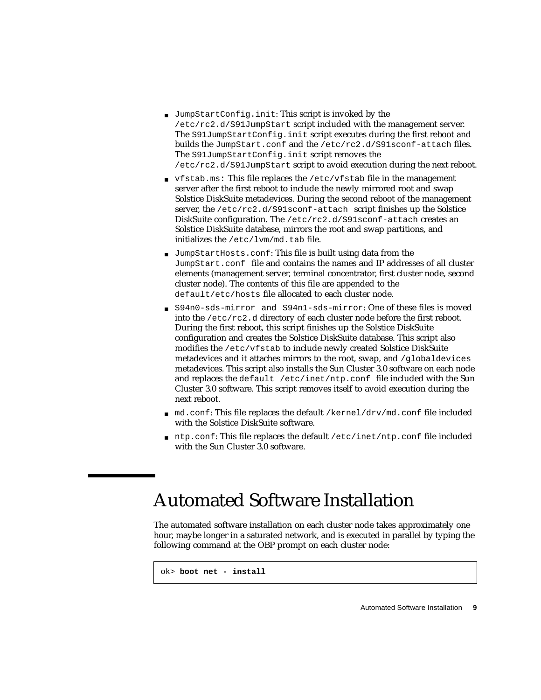- JumpStartConfig.init: This script is invoked by the /etc/rc2.d/S91JumpStart script included with the management server. The S91JumpStartConfig.init script executes during the first reboot and builds the JumpStart.conf and the /etc/rc2.d/S91sconf-attach files. The S91JumpStartConfig.init script removes the /etc/rc2.d/S91JumpStart script to avoid execution during the next reboot.
- vfstab.ms: This file replaces the /etc/vfstab file in the management server after the first reboot to include the newly mirrored root and swap Solstice DiskSuite metadevices. During the second reboot of the management server, the /etc/rc2.d/S91sconf-attach script finishes up the Solstice DiskSuite configuration. The /etc/rc2.d/S91sconf-attach creates an Solstice DiskSuite database, mirrors the root and swap partitions, and initializes the /etc/lvm/md.tab file.
- JumpStartHosts.conf: This file is built using data from the JumpStart.conf file and contains the names and IP addresses of all cluster elements (management server, terminal concentrator, first cluster node, second cluster node). The contents of this file are appended to the default/etc/hosts file allocated to each cluster node.
- S94n0-sds-mirror and S94n1-sds-mirror: One of these files is moved into the /etc/rc2.d directory of each cluster node before the first reboot. During the first reboot, this script finishes up the Solstice DiskSuite configuration and creates the Solstice DiskSuite database. This script also modifies the /etc/vfstab to include newly created Solstice DiskSuite metadevices and it attaches mirrors to the root, swap, and /globaldevices metadevices. This script also installs the Sun Cluster 3.0 software on each node and replaces the default /etc/inet/ntp.conf file included with the Sun Cluster 3.0 software. This script removes itself to avoid execution during the next reboot.
- md.conf: This file replaces the default /kernel/drv/md.conf file included with the Solstice DiskSuite software.
- ntp.conf: This file replaces the default /etc/inet/ntp.conf file included with the Sun Cluster 3.0 software.

## Automated Software Installation

The automated software installation on each cluster node takes approximately one hour, maybe longer in a saturated network, and is executed in parallel by typing the following command at the OBP prompt on each cluster node:

```
ok> boot net - install
```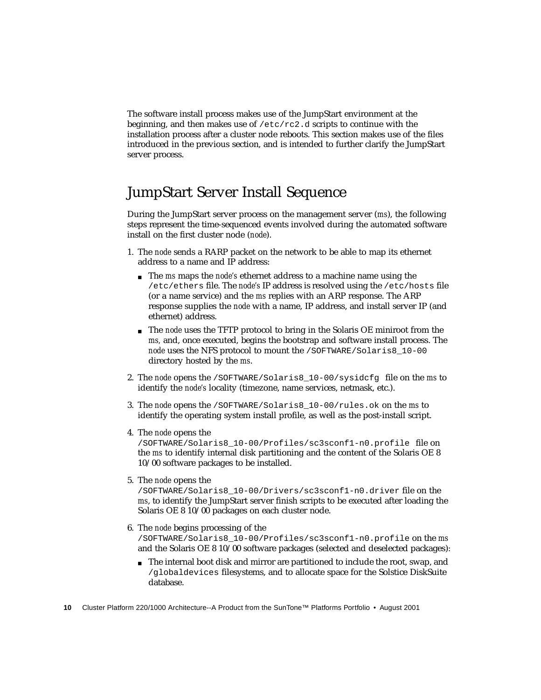The software install process makes use of the JumpStart environment at the beginning, and then makes use of  $/etc/rc2$ .d scripts to continue with the installation process after a cluster node reboots. This section makes use of the files introduced in the previous section, and is intended to further clarify the JumpStart server process.

#### JumpStart Server Install Sequence

During the JumpStart server process on the management server (*ms*), the following steps represent the time-sequenced events involved during the automated software install on the first cluster node (*node*).

- 1. The *node* sends a RARP packet on the network to be able to map its ethernet address to a name and IP address:
	- The *ms* maps the *node's* ethernet address to a machine name using the /etc/ethers file. The *node's* IP address is resolved using the /etc/hosts file (or a name service) and the *ms* replies with an ARP response. The ARP response supplies the *node* with a name, IP address, and install server IP (and ethernet) address.
	- The *node* uses the TFTP protocol to bring in the Solaris OE miniroot from the *ms,* and, once executed, begins the bootstrap and software install process. The *node* uses the NFS protocol to mount the /SOFTWARE/Solaris8\_10-00 directory hosted by the *ms*.
- 2. The *node* opens the /SOFTWARE/Solaris8\_10-00/sysidcfg file on the *ms* to identify the *node's* locality (timezone, name services, netmask, etc.).
- 3. The *node* opens the /SOFTWARE/Solaris8\_10-00/rules.ok on the *ms* to identify the operating system install profile, as well as the post-install script.
- 4. The *node* opens the

/SOFTWARE/Solaris8\_10-00/Profiles/sc3sconf1-n0.profile file on the *ms* to identify internal disk partitioning and the content of the Solaris OE 8 10/00 software packages to be installed.

5. The *node* opens the

/SOFTWARE/Solaris8\_10-00/Drivers/sc3sconf1-n0.driver file on the *ms*, to identify the JumpStart server finish scripts to be executed after loading the Solaris OE 8 10/00 packages on each cluster node.

- 6. The *node* begins processing of the /SOFTWARE/Solaris8\_10-00/Profiles/sc3sconf1-n0.profile on the *ms* and the Solaris OE 8 10/00 software packages (selected and deselected packages):
	- The internal boot disk and mirror are partitioned to include the root, swap, and /globaldevices filesystems, and to allocate space for the Solstice DiskSuite database.
- **10** Cluster Platform 220/1000 Architecture--A Product from the SunTone™ Platforms Portfolio August 2001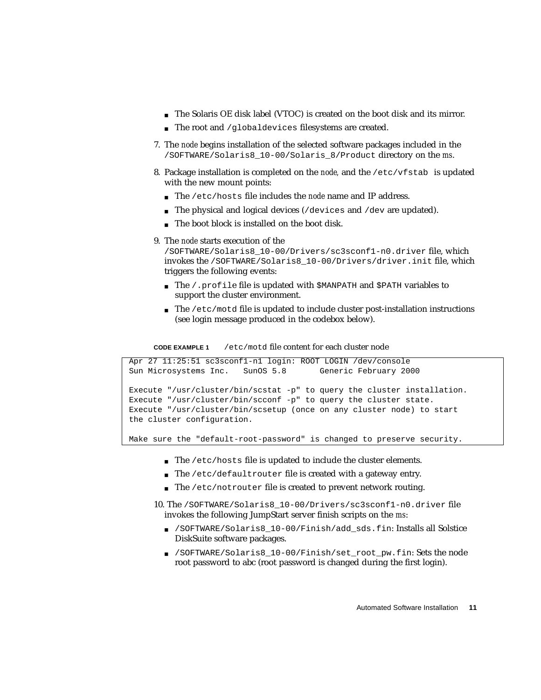- The Solaris OE disk label (VTOC) is created on the boot disk and its mirror.
- The root and /qlobaldevices filesystems are created.
- 7. The *node* begins installation of the selected software packages included in the /SOFTWARE/Solaris8\_10-00/Solaris\_8/Product directory on the *ms*.
- 8. Package installation is completed on the *node,* and the /etc/vfstab is updated with the new mount points:
	- The /etc/hosts file includes the *node* name and IP address.
	- $\blacksquare$  The physical and logical devices (/devices and /dev are updated).
	- The boot block is installed on the boot disk.
- 9. The *node* starts execution of the

```
/SOFTWARE/Solaris8_10-00/Drivers/sc3sconf1-n0.driver file, which
invokes the /SOFTWARE/Solaris8_10-00/Drivers/driver.init file, which
triggers the following events:
```
- The / profile file is updated with \$MANPATH and \$PATH variables to support the cluster environment.
- The /etc/motd file is updated to include cluster post-installation instructions (see login message produced in the codebox below).

**CODE EXAMPLE 1** /etc/motd file content for each cluster node

```
Apr 27 11:25:51 sc3sconf1-n1 login: ROOT LOGIN /dev/console
Sun Microsystems Inc. SunOS 5.8 Generic February 2000
Execute "/usr/cluster/bin/scstat -p" to query the cluster installation.
Execute "/usr/cluster/bin/scconf -p" to query the cluster state.
Execute "/usr/cluster/bin/scsetup (once on any cluster node) to start
the cluster configuration.
```
Make sure the "default-root-password" is changed to preserve security.

- The /etc/hosts file is updated to include the cluster elements.
- The /etc/defaultrouter file is created with a gateway entry.
- The /etc/notrouter file is created to prevent network routing.
- 10. The /SOFTWARE/Solaris8\_10-00/Drivers/sc3sconf1-n0.driver file invokes the following JumpStart server finish scripts on the *ms*:
	- /SOFTWARE/Solaris8\_10-00/Finish/add\_sds.fin: Installs all Solstice DiskSuite software packages.
	- /SOFTWARE/Solaris8\_10-00/Finish/set\_root\_pw.fin: Sets the node root password to abc (root password is changed during the first login).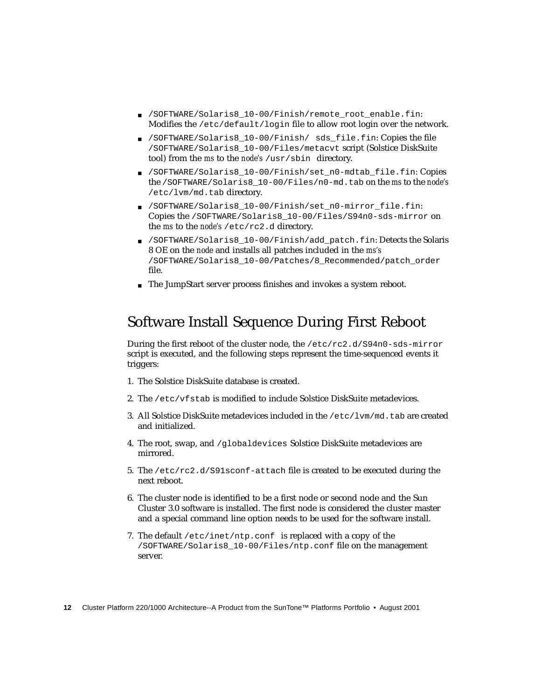- /SOFTWARE/Solaris8 10-00/Finish/remote root enable.fin: Modifies the /etc/default/login file to allow root login over the network.
- /SOFTWARE/Solaris8 10-00/Finish/ sds file.fin: Copies the file /SOFTWARE/Solaris8\_10-00/Files/metacvt script (Solstice DiskSuite tool) from the *ms* to the *node's* /usr/sbin directory.
- /SOFTWARE/Solaris8\_10-00/Finish/set\_n0-mdtab\_file.fin: Copies the /SOFTWARE/Solaris8\_10-00/Files/n0-md.tab on the *ms* to the *node's* /etc/lvm/md.tab directory.
- /SOFTWARE/Solaris8\_10-00/Finish/set\_n0-mirror\_file.fin: Copies the /SOFTWARE/Solaris8\_10-00/Files/S94n0-sds-mirror on the *ms* to the *node's* /etc/rc2.d directory.
- /SOFTWARE/Solaris8\_10-00/Finish/add\_patch.fin: Detects the Solaris 8 OE on the *node* and installs all patches included in the *ms's* /SOFTWARE/Solaris8\_10-00/Patches/8\_Recommended/patch\_order file.
- The JumpStart server process finishes and invokes a system reboot.

#### Software Install Sequence During First Reboot

During the first reboot of the cluster node, the /etc/rc2.d/S94n0-sds-mirror script is executed, and the following steps represent the time-sequenced events it triggers:

- 1. The Solstice DiskSuite database is created.
- 2. The /etc/vfstab is modified to include Solstice DiskSuite metadevices.
- 3. All Solstice DiskSuite metadevices included in the /etc/lvm/md.tab are created and initialized.
- 4. The root, swap, and /globaldevices Solstice DiskSuite metadevices are mirrored.
- 5. The /etc/rc2.d/S91sconf-attach file is created to be executed during the next reboot.
- 6. The cluster node is identified to be a first node or second node and the Sun Cluster 3.0 software is installed. The first node is considered the cluster master and a special command line option needs to be used for the software install.
- 7. The default /etc/inet/ntp.conf is replaced with a copy of the /SOFTWARE/Solaris8\_10-00/Files/ntp.conf file on the management server.
- **12** Cluster Platform 220/1000 Architecture--A Product from the SunTone™ Platforms Portfolio August 2001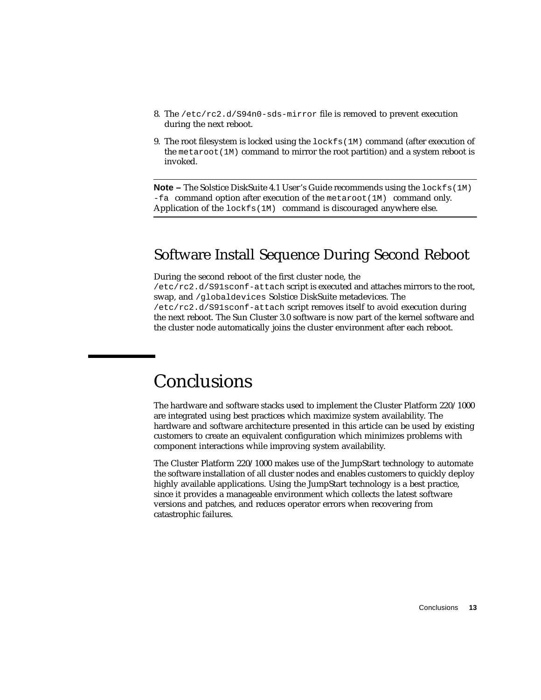- 8. The /etc/rc2.d/S94n0-sds-mirror file is removed to prevent execution during the next reboot.
- 9. The root filesystem is locked using the lockfs(1M) command (after execution of the metaroot  $(1M)$  command to mirror the root partition) and a system reboot is invoked.

**Note –** The Solstice DiskSuite 4.1 User's Guide recommends using the lockfs(1M)  $-fa$  command option after execution of the metaroot(1M) command only. Application of the lockfs(1M) command is discouraged anywhere else.

#### Software Install Sequence During Second Reboot

During the second reboot of the first cluster node, the

/etc/rc2.d/S91sconf-attach script is executed and attaches mirrors to the root, swap, and /globaldevices Solstice DiskSuite metadevices. The /etc/rc2.d/S91sconf-attach script removes itself to avoid execution during the next reboot. The Sun Cluster 3.0 software is now part of the kernel software and the cluster node automatically joins the cluster environment after each reboot.

## **Conclusions**

The hardware and software stacks used to implement the Cluster Platform 220/1000 are integrated using best practices which maximize system availability. The hardware and software architecture presented in this article can be used by existing customers to create an equivalent configuration which minimizes problems with component interactions while improving system availability.

The Cluster Platform 220/1000 makes use of the JumpStart technology to automate the software installation of all cluster nodes and enables customers to quickly deploy highly available applications. Using the JumpStart technology is a best practice, since it provides a manageable environment which collects the latest software versions and patches, and reduces operator errors when recovering from catastrophic failures.